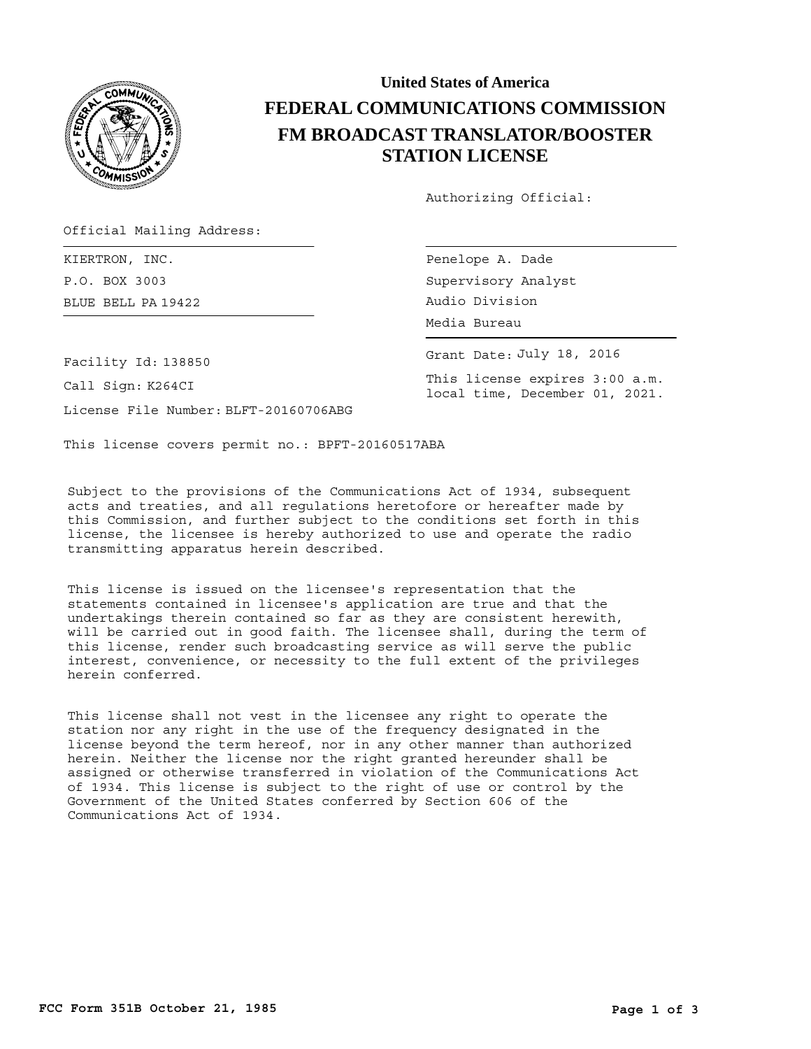

## **United States of America FEDERAL COMMUNICATIONS COMMISSION FM BROADCAST TRANSLATOR/BOOSTER STATION LICENSE**

Authorizing Official:

Official Mailing Address:

BLUE BELL Audio Division PA 19422 KIERTRON, INC. P.O. BOX 3003

Penelope A. Dade Supervisory Analyst Media Bureau

Grant Date: July 18, 2016

This license expires 3:00 a.m. local time, December 01, 2021.

Facility Id: 138850

Call Sign: K264CI

License File Number: BLFT-20160706ABG

This license covers permit no.: BPFT-20160517ABA

Subject to the provisions of the Communications Act of 1934, subsequent acts and treaties, and all regulations heretofore or hereafter made by this Commission, and further subject to the conditions set forth in this license, the licensee is hereby authorized to use and operate the radio transmitting apparatus herein described.

This license is issued on the licensee's representation that the statements contained in licensee's application are true and that the undertakings therein contained so far as they are consistent herewith, will be carried out in good faith. The licensee shall, during the term of this license, render such broadcasting service as will serve the public interest, convenience, or necessity to the full extent of the privileges herein conferred.

This license shall not vest in the licensee any right to operate the station nor any right in the use of the frequency designated in the license beyond the term hereof, nor in any other manner than authorized herein. Neither the license nor the right granted hereunder shall be assigned or otherwise transferred in violation of the Communications Act of 1934. This license is subject to the right of use or control by the Government of the United States conferred by Section 606 of the Communications Act of 1934.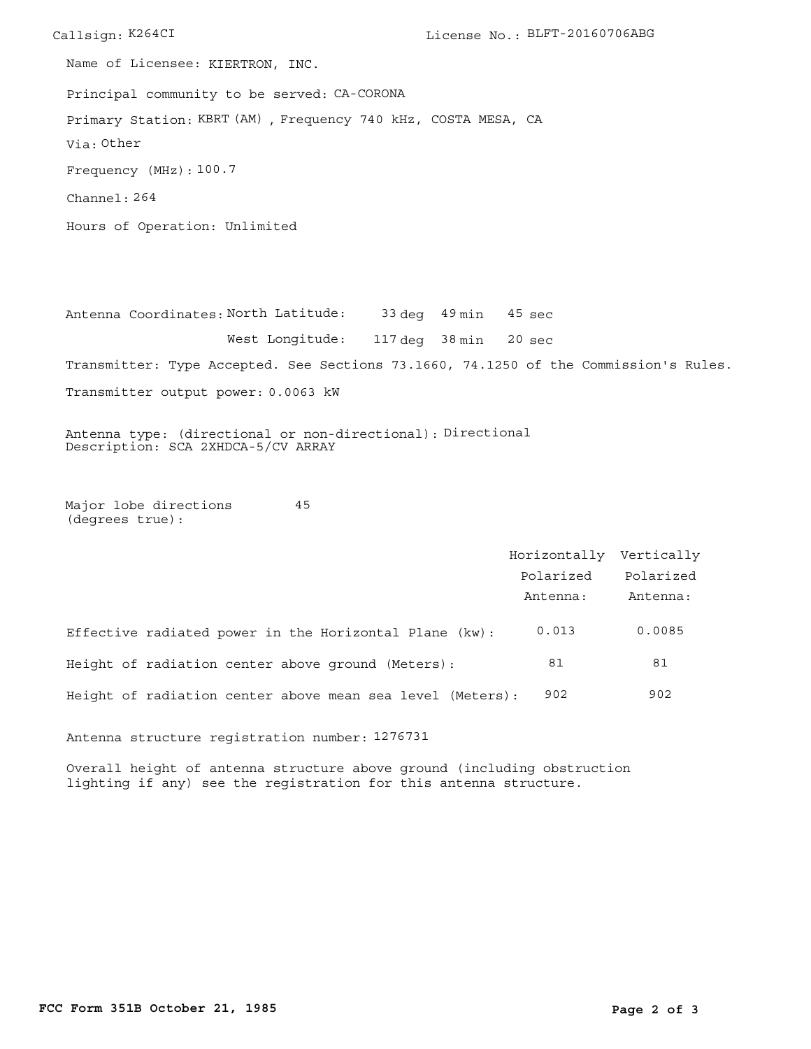Callsign: K264CI License No.: BLFT-20160706ABG Principal community to be served: CA-CORONA Hours of Operation: Unlimited Frequency (MHz): 100.7 Via: Other Primary Station: KBRT (AM), Frequency 740 kHz, COSTA MESA, CA Channel: 264 Name of Licensee: KIERTRON, INC.

Antenna Coordinates: North Latitude: 33 deg 49 min West Longitude: 117 deg 38 min Transmitter: Type Accepted. See Sections 73.1660, 74.1250 of the Commission's Rules. Transmitter output power: 0.0063 kW 20 sec 45 sec

Antenna type: (directional or non-directional): Directional Description: SCA 2XHDCA-5/CV ARRAY

Major lobe directions (degrees true): 45

|                                                           | Horizontally Vertically |           |
|-----------------------------------------------------------|-------------------------|-----------|
|                                                           | Polarized               | Polarized |
|                                                           | Antenna:                | Antenna:  |
| Effective radiated power in the Horizontal Plane (kw):    | 0.013                   | 0.0085    |
| Height of radiation center above ground (Meters):         | 81                      | 81        |
| Height of radiation center above mean sea level (Meters): | 902                     | 902       |

Antenna structure registration number: 1276731

Overall height of antenna structure above ground (including obstruction lighting if any) see the registration for this antenna structure.